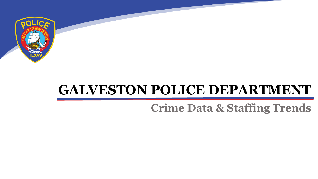

# **GALVESTON POLICE DEPARTMENT**

# **Crime Data & Staffing Trends**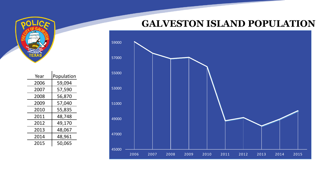

| Year | Population |  |
|------|------------|--|
| 2006 | 59,094     |  |
| 2007 | 57,590     |  |
| 2008 | 56,870     |  |
| 2009 | 57,040     |  |
| 2010 | 55,835     |  |
| 2011 | 48,748     |  |
| 2012 | 49,170     |  |
| 2013 | 48,067     |  |
| 2014 | 48,961     |  |
| 2015 | 50,065     |  |

÷.

# **GALVESTON ISLAND POPULATION**

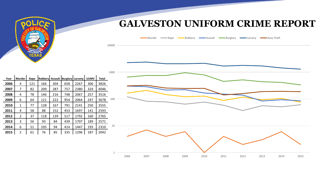

# **GALVESTON UNIFORM CRIME REPORT**



| Year | <b>Murder</b>           | Rape | Robbery | <b>Assault</b> | <b>Burglary Larceny</b> |      | <b>UUMV</b> | Total |    |
|------|-------------------------|------|---------|----------------|-------------------------|------|-------------|-------|----|
| 2006 | 4                       | 121  | 166     | 304            | 658                     | 2267 | 306         | 3826  |    |
| 2007 | 7                       | 82   | 209     | 287            | 757                     | 2380 | 324         | 4046  |    |
| 2008 | 4                       | 78   | 146     | 216            | 748                     | 2067 | 257         | 3516  |    |
| 2009 | 6                       | 64   | 121     | 222            | 954                     | 2064 | 247         | 3678  | 1( |
| 2010 | 1                       | 77   | 128     | 167            | 791                     | 2141 | 250         | 3555  |    |
| 2011 | 4                       | 58   | 88      | 152            | 453                     | 1697 | 141         | 2593  |    |
| 2012 | 2                       | 37   | 118     | 139            | 517                     | 1792 | 160         | 2765  |    |
| 2013 | 3                       | 56   | 93      | 84             | 439                     | 1707 | 189         | 2571  |    |
| 2014 | 6                       | 51   | 105     | 94             | 414                     | 1447 | 193         | 2310  |    |
| 2015 | $\overline{\mathbf{c}}$ | 61   | 76      | 85             | 335                     | 1296 | 187         | 2042  |    |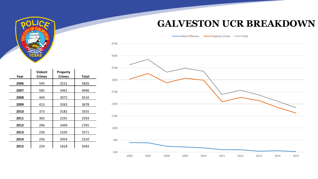#### **GALVESTON UCR BREAKDOWN**

Violent Offenses **Interpretent Crimes** Property Crimes



| Year | <b>Violent</b><br><b>Crimes</b> | <b>Property</b><br><b>Crimes</b> | <b>Total</b> |
|------|---------------------------------|----------------------------------|--------------|
| 2006 | 595                             | 3231                             | 3826         |
| 2007 | 585                             | 3461                             | 4046         |
| 2008 | 444                             | 3072                             | 3516         |
| 2009 | 413                             | 3265                             | 3678         |
| 2010 | 373                             | 3182                             | 3555         |
| 2011 | 302                             | 2291                             | 2593         |
| 2012 | 296                             | 2469                             | 2765         |
| 2013 | 236                             | 2335                             | 2571         |
| 2014 | 256                             | 2054                             | 2310         |
| 2015 | 224                             | 1818                             | 2042         |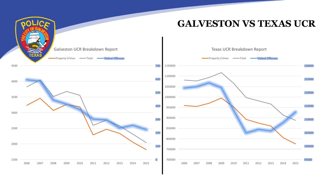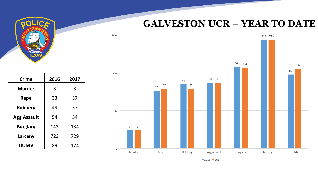# **GALVESTON UCR – YEAR TO DATE**



| <b>Crime</b>       | 2016 | 2017 |
|--------------------|------|------|
| <b>Murder</b>      | 3    | 3    |
| Rape               | 33   | 37   |
| Robbery            | 49   | 37   |
| <b>Agg Assault</b> | 54   | 54   |
| <b>Burglary</b>    | 143  | 134  |
| Larceny            | 723  | 729  |

**UUMV** | 89 | 124

■2016 2017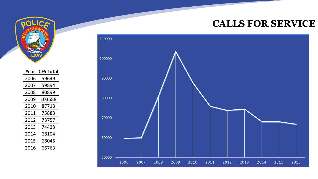### **CALLS FOR SERVICE**



 $\sim 10^{-1}$ 

| Year | <b>CFS Total</b> |
|------|------------------|
| 2006 | 59649            |
| 2007 | 59894            |
| 2008 | 80899            |
| 2009 | 103588           |
| 2010 | 87713            |
| 2011 | 75883            |
| 2012 | 73757            |
| 2013 | 74423            |
| 2014 | 68104            |
| 2015 | 68045            |
| 2016 | 66763            |